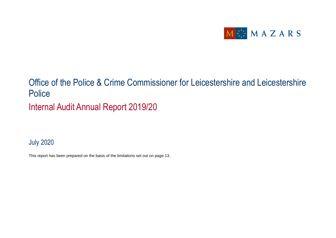

# Office of the Police & Crime Commissioner for Leicestershire and Leicestershire **Police** Internal Audit Annual Report 2019/20

### July 2020

This report has been prepared on the basis of the limitations set out on page 13.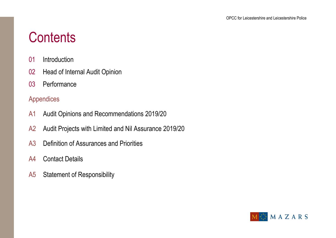# **Contents**

- 01 Introduction
- 02 Head of Internal Audit Opinion
- 03 Performance

# Appendices

- A1 Audit Opinions and Recommendations 2019/20
- A2 Audit Projects with Limited and Nil Assurance 2019/20
- A3 Definition of Assurances and Priorities
- A4 Contact Details
- A5 Statement of Responsibility

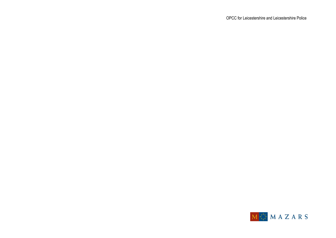OPCC for Leicestershire and Leicestershire Police

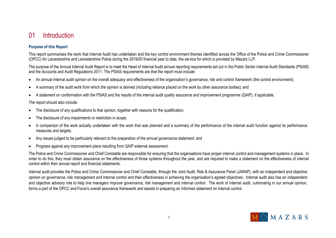# 01 Introduction

### **Purpose of this Report**

This report summarises the work that Internal Audit has undertaken and the key control environment themes identified across the Office of the Police and Crime Commissioner (OPCC) for Leicestershire and Leicestershire Police during the 2019/20 financial year to date, the service for which is provided by Mazars LLP.

The purpose of the Annual Internal Audit Report is to meet the Head of Internal Audit annual reporting requirements set out in the Public Sector Internal Audit Standards (PSIAS) and the Accounts and Audit Regulations 2011. The PSIAS requirements are that the report must include:

- An annual internal audit opinion on the overall adequacy and effectiveness of the organisation's governance, risk and control framework (the control environment);
- A summary of the audit work from which the opinion is derived (including reliance placed on the work by other assurance bodies); and
- A statement on conformation with the PSIAS and the results of the internal audit quality assurance and improvement programme (QAIP), if applicable.

The report should also include:

- The disclosure of any qualifications to that opinion, together with reasons for the qualification;
- The disclosure of any impairments or restriction in scope;
- A comparison of the work actually undertaken with the work that was planned and a summary of the performance of the internal audit function against its performance measures and targets;
- Any issues judged to be particularly relevant to the preparation of the annual governance statement; and
- Progress against any improvement plans resulting from QAIP external assessment.

The Police and Crime Commissioner and Chief Constable are responsible for ensuring that the organisations have proper internal control and management systems in place. In order to do this, they must obtain assurance on the effectiveness of those systems throughout the year, and are required to make a statement on the effectiveness of internal control within their annual report and financial statements.

Internal audit provides the Police and Crime Commissioner and Chief Constable, through the Joint Audit, Risk & Assurance Panel (JARAP), with an independent and objective opinion on governance, risk management and internal control and their effectiveness in achieving the organisation's agreed objectives. Internal audit also has an independent and objective advisory role to help line managers improve governance, risk management and internal control. The work of internal audit, culminating in our annual opinion, forms a part of the OPCC and Force's overall assurance framework and assists in preparing an informed statement on internal control.

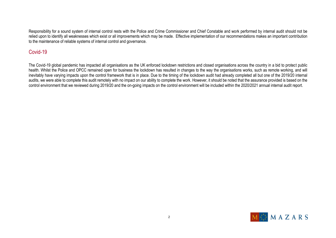Responsibility for a sound system of internal control rests with the Police and Crime Commissioner and Chief Constable and work performed by internal audit should not be relied upon to identify all weaknesses which exist or all improvements which may be made. Effective implementation of our recommendations makes an important contribution to the maintenance of reliable systems of internal control and governance.

### Covid-19

The Covid-19 global pandemic has impacted all organisations as the UK enforced lockdown restrictions and closed organisations across the country in a bid to protect public health. Whilst the Police and OPCC remained open for business the lockdown has resulted in changes to the way the organisations works, such as remote working, and will inevitably have varying impacts upon the control framework that is in place. Due to the timing of the lockdown audit had already completed all but one of the 2019/20 internal audits, we were able to complete this audit remotely with no impact on our ability to complete the work. However, it should be noted that the assurance provided is based on the control environment that we reviewed during 2019/20 and the on-going impacts on the control environment will be included within the 2020/2021 annual internal audit report.

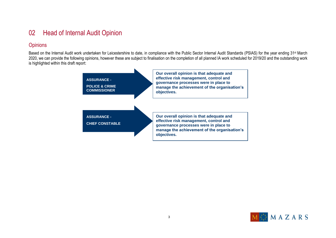# 02 Head of Internal Audit Opinion

### **Opinions**

Based on the Internal Audit work undertaken for Leicestershire to date, in compliance with the Public Sector Internal Audit Standards (PSIAS) for the year ending 31<sup>st</sup> March 2020, we can provide the following opinions, however these are subject to finalisation on the completion of all planned IA work scheduled for 2019/20 and the outstanding work is highlighted within this draft report:



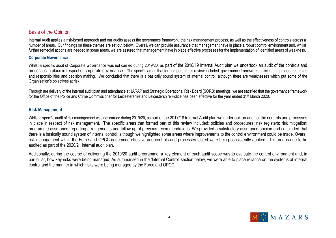### Basis of the Opinion

Internal Audit applies a risk-based approach and our audits assess the governance framework, the risk management process, as well as the effectiveness of controls across a number of areas. Our findings on these themes are set out below. Overall, we can provide assurance that management have in place a robust control environment and, whilst further remedial actions are needed in some areas, we are assured that management have in place effective processes for the implementation of identified areas of weakness.

#### **Corporate Governance**

Whilst a specific audit of Corporate Governance was not carried during 2019/20, as part of the 2018/19 Internal Audit plan we undertook an audit of the controls and processes in place in respect of corporate governance. The specific areas that formed part of this review included: governance framework, policies and procedures, roles and responsibilities and decision making. We concluded that there is a basically sound system of internal control, although there are weaknesses which put some of the Organisation's objectives at risk.

Through are delivery of the internal audit plan and attendance at JARAP and Strategic Operational Risk Board (SORB) meetings, we are satisfied that the governance framework for the Office of the Police and Crime Commissioner for Leicestershire and Leicestershire Police has been effective for the year ended 31st March 2020.

#### **Risk Management**

Whilst a specific audit of risk management was not carried during 2019/20, as part of the 2017/18 Internal Audit plan we undertook an audit of the controls and processes in place in respect of risk management. The specific areas that formed part of this review included: policies and procedures; risk registers; risk mitigation; programme assurance; reporting arrangements and follow up of previous recommendations. We provided a satisfactory assurance opinion and concluded that there is a basically sound system of internal control, although we highlighted some areas where improvements to the control environment could be made. Overall risk management within the Force and OPCC is deemed effective and controls and processes tested were being consistently applied. This area is due to be audited as part of the 2020/21 internal audit plan.

Additionally, during the course of delivering the 2019/20 audit programme, a key element of each audit scope was to evaluate the control environment and, in particular, how key risks were being managed. As summarised in the 'Internal Control' section below, we were able to place reliance on the systems of internal control and the manner in which risks were being managed by the Force and OPCC.

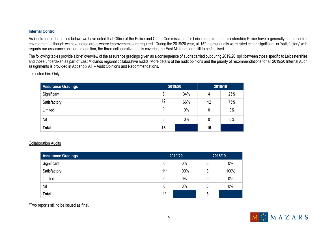#### **Internal Control**

As illustrated in the tables below, we have noted that Office of the Police and Crime Commissioner for Leicestershire and Leicestershire Police have a generally sound control environment, although we have noted areas where improvements are required. During the 2019/20 year, all 15\* internal audits were rated either 'significant' or 'satisfactory' with regards our assurance opinion. In addition, the three collaborative audits covering the East Midlands are still to be finalised.

The following tables provide a brief overview of the assurance gradings given as a consequence of audits carried out during 2019/20, split between those specific to Leicestershire and those undertaken as part of East Midlands regional collaborative audits. More details of the audit opinions and the priority of recommendations for all 2019/20 Internal Audit assignments is provided in Appendix A1 – Audit Opinions and Recommendations.

Leicestershire Only

| <b>Assurance Gradings</b> | 2019/20 |       | 2018/19 |       |
|---------------------------|---------|-------|---------|-------|
| Significant               | 6       | 34%   | 4       | 25%   |
| Satisfactory              | 12      | 66%   | 12      | 75%   |
| Limited                   | 0       | $0\%$ | 0       | $0\%$ |
| Nil                       | 0       | $0\%$ | 0       | $0\%$ |
| <b>Total</b>              | 16      |       | 16      |       |

#### Collaboration Audits

| <b>Assurance Gradings</b> | 2019/20<br>2018/19 |      |   |       |
|---------------------------|--------------------|------|---|-------|
| Significant               | 0                  | 0%   |   | $0\%$ |
| Satisfactory              | $4**$              | 100% | 3 | 100%  |
| Limited                   | 0                  | 0%   |   | $0\%$ |
| Nil                       | 0                  | 0%   |   | $0\%$ |
| <b>Total</b>              | $1*$               |      | 3 |       |

\*Two reports still to be issued as final.

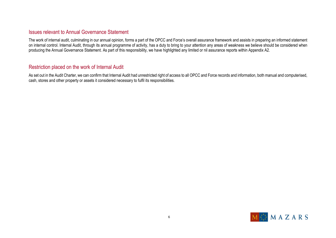### Issues relevant to Annual Governance Statement

The work of internal audit, culminating in our annual opinion, forms a part of the OPCC and Force's overall assurance framework and assists in preparing an informed statement on internal control. Internal Audit, through its annual programme of activity, has a duty to bring to your attention any areas of weakness we believe should be considered when producing the Annual Governance Statement. As part of this responsibility, we have highlighted any limited or nil assurance reports within Appendix A2.

### Restriction placed on the work of Internal Audit

As set out in the Audit Charter, we can confirm that Internal Audit had unrestricted right of access to all OPCC and Force records and information, both manual and computerised, cash, stores and other property or assets it considered necessary to fulfil its responsibilities.

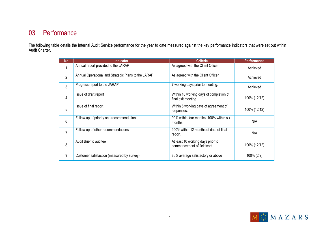# 03 Performance

The following table details the Internal Audit Service performance for the year to date measured against the key performance indicators that were set out within Audit Charter.

| <b>No</b>      | <b>Indicator</b>                                    | <b>Criteria</b>                                                 | <b>Performance</b> |
|----------------|-----------------------------------------------------|-----------------------------------------------------------------|--------------------|
| 1              | Annual report provided to the JARAP                 | As agreed with the Client Officer                               | Achieved           |
| $\overline{2}$ | Annual Operational and Strategic Plans to the JARAP | As agreed with the Client Officer                               | Achieved           |
| 3              | Progress report to the JARAP                        | 7 working days prior to meeting.                                | Achieved           |
| 4              | Issue of draft report                               | Within 10 working days of completion of<br>final exit meeting.  | 100% (12/12)       |
| 5              | Issue of final report                               | Within 5 working days of agreement of<br>responses.             | 100% (12/12)       |
| 6              | Follow-up of priority one recommendations           | 90% within four months, 100% within six<br>months.              | N/A                |
| 7              | Follow-up of other recommendations                  | 100% within 12 months of date of final<br>report.               | N/A                |
| 8              | Audit Brief to auditee                              | At least 10 working days prior to<br>commencement of fieldwork. | 100% (12/12)       |
| 9              | Customer satisfaction (measured by survey)          | 85% average satisfactory or above                               | 100% (2/2)         |

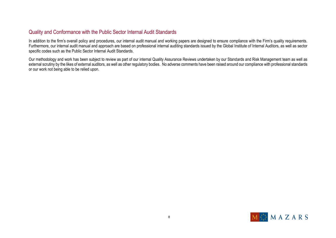### Quality and Conformance with the Public Sector Internal Audit Standards

In addition to the firm's overall policy and procedures, our internal audit manual and working papers are designed to ensure compliance with the Firm's quality requirements. Furthermore, our internal audit manual and approach are based on professional internal auditing standards issued by the Global Institute of Internal Auditors, as well as sector specific codes such as the Public Sector Internal Audit Standards.

Our methodology and work has been subject to review as part of our internal Quality Assurance Reviews undertaken by our Standards and Risk Management team as well as external scrutiny by the likes of external auditors, as well as other regulatory bodies. No adverse comments have been raised around our compliance with professional standards or our work not being able to be relied upon.

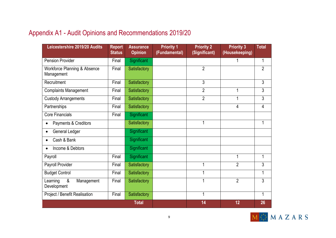# Appendix A1 - Audit Opinions and Recommendations 2019/20

| Leicestershire 2019/20 Audits                 | <b>Report</b><br><b>Status</b> | <b>Assurance</b><br><b>Opinion</b> | <b>Priority 1</b><br>(Fundamental) | <b>Priority 2</b><br>(Significant) | <b>Priority 3</b><br>(Housekeeping) | <b>Total</b>   |
|-----------------------------------------------|--------------------------------|------------------------------------|------------------------------------|------------------------------------|-------------------------------------|----------------|
| <b>Pension Provider</b>                       | Final                          | Significant                        |                                    |                                    |                                     |                |
| Workforce Planning & Absence<br>Management    | Final                          | Satisfactory                       |                                    | $\overline{2}$                     |                                     | $\overline{2}$ |
| Recruitment                                   | Final                          | <b>Satisfactory</b>                |                                    | $\mathfrak{Z}$                     |                                     | 3              |
| <b>Complaints Management</b>                  | Final                          | Satisfactory                       |                                    | $\overline{2}$                     | 1                                   | 3              |
| <b>Custody Arrangements</b>                   | Final                          | Satisfactory                       |                                    | $\overline{2}$                     | 1                                   | 3              |
| Partnerships                                  | Final                          | Satisfactory                       |                                    |                                    | 4                                   | 4              |
| <b>Core Financials</b>                        | Final                          | Significant                        |                                    |                                    |                                     |                |
| Payments & Creditors                          |                                | Satisfactory                       |                                    | 1                                  |                                     | 1              |
| General Ledger                                |                                | Significant                        |                                    |                                    |                                     |                |
| Cash & Bank                                   |                                | Significant                        |                                    |                                    |                                     |                |
| Income & Debtors                              |                                | Significant                        |                                    |                                    |                                     |                |
| Payroll                                       | Final                          | Significant                        |                                    |                                    | 1                                   |                |
| Payroll Provider                              | Final                          | Satisfactory                       |                                    | 1                                  | $\overline{2}$                      | 3              |
| <b>Budget Control</b>                         | Final                          | Satisfactory                       |                                    | 1                                  |                                     | 1              |
| Learning<br>$\&$<br>Management<br>Development | Final                          | Satisfactory                       |                                    | 1                                  | $\overline{2}$                      | 3              |
| Project / Benefit Realisation                 | Final                          | Satisfactory                       |                                    | 1                                  |                                     |                |
|                                               |                                | <b>Total</b>                       |                                    | 14                                 | 12                                  | 26             |

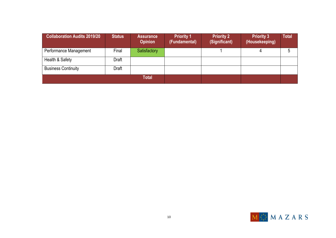| <b>Collaboration Audits 2019/20</b> | <b>Status</b> | <b>Assurance</b><br><b>Opinion</b> | <b>Priority 1</b><br>(Fundamental) | <b>Priority 2</b><br>(Significant) | <b>Priority 3</b><br>(Housekeeping) | <b>Total</b> |
|-------------------------------------|---------------|------------------------------------|------------------------------------|------------------------------------|-------------------------------------|--------------|
| Performance Management              | Final         | Satisfactory                       |                                    |                                    |                                     |              |
| Health & Safety                     | Draft         |                                    |                                    |                                    |                                     |              |
| <b>Business Continuity</b>          | Draft         |                                    |                                    |                                    |                                     |              |
|                                     |               | <b>Total</b>                       |                                    |                                    |                                     |              |

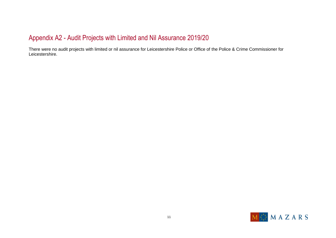# Appendix A2 - Audit Projects with Limited and Nil Assurance 2019/20

There were no audit projects with limited or nil assurance for Leicestershire Police or Office of the Police & Crime Commissioner for Leicestershire.

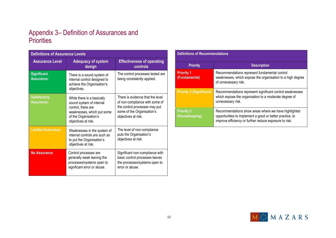# Appendix 3– Definition of Assurances and **Priorities**

| <b>Definitions of Assurance Levels</b>   |                                                                                                                                                            |                                                                                                                                                          |  |  |  |
|------------------------------------------|------------------------------------------------------------------------------------------------------------------------------------------------------------|----------------------------------------------------------------------------------------------------------------------------------------------------------|--|--|--|
| <b>Assurance Level</b>                   | <b>Adequacy of system</b><br>design                                                                                                                        | <b>Effectiveness of operating</b><br>controls                                                                                                            |  |  |  |
| <b>Significant</b><br><b>Assurance:</b>  | There is a sound system of<br>internal control designed to<br>achieve the Organisation's<br>objectives.                                                    | The control processes tested are<br>being consistently applied.                                                                                          |  |  |  |
| <b>Satisfactory</b><br><b>Assurance:</b> | While there is a basically<br>sound system of internal<br>control, there are<br>weaknesses, which put some<br>of the Organisation's<br>objectives at risk. | There is evidence that the level<br>of non-compliance with some of<br>the control processes may put<br>some of the Organisation's<br>objectives at risk. |  |  |  |
| <b>Limited Assurance:</b>                | Weaknesses in the system of<br>internal controls are such as<br>to put the Organisation's<br>objectives at risk.                                           | The level of non-compliance<br>puts the Organisation's<br>objectives at risk.                                                                            |  |  |  |
| <b>No Assurance</b>                      | Control processes are<br>generally weak leaving the<br>processes/systems open to<br>significant error or abuse.                                            | Significant non-compliance with<br>basic control processes leaves<br>the processes/systems open to<br>error or abuse.                                    |  |  |  |

| <b>Definitions of Recommendations</b> |                                                                                                                                                                            |  |  |
|---------------------------------------|----------------------------------------------------------------------------------------------------------------------------------------------------------------------------|--|--|
| <b>Priority</b>                       | <b>Description</b>                                                                                                                                                         |  |  |
| <b>Priority 1</b><br>(Fundamental)    | Recommendations represent fundamental control<br>weaknesses, which expose the organisation to a high degree<br>of unnecessary risk.                                        |  |  |
| <b>Priority 2 (Significant)</b>       | Recommendations represent significant control weaknesses<br>which expose the organisation to a moderate degree of<br>unnecessary risk.                                     |  |  |
| <b>Priority 3</b><br>(Housekeeping)   | Recommendations show areas where we have highlighted<br>opportunities to implement a good or better practice, to<br>improve efficiency or further reduce exposure to risk. |  |  |

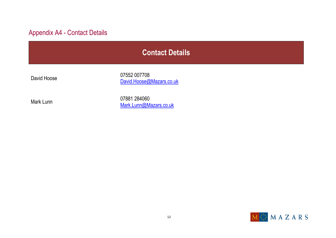Appendix A4 - Contact Details

# **Contact Details**

David Hoose 07552 007708 [David.Hoose@Mazars.co.uk](mailto:Mike.Clarkson@Mazars.co.uk)

Mark Lunn 2007881 284060 [Mark.Lunn@Mazars.co.uk](mailto:Mark.Lunn@Mazars.co.uk)